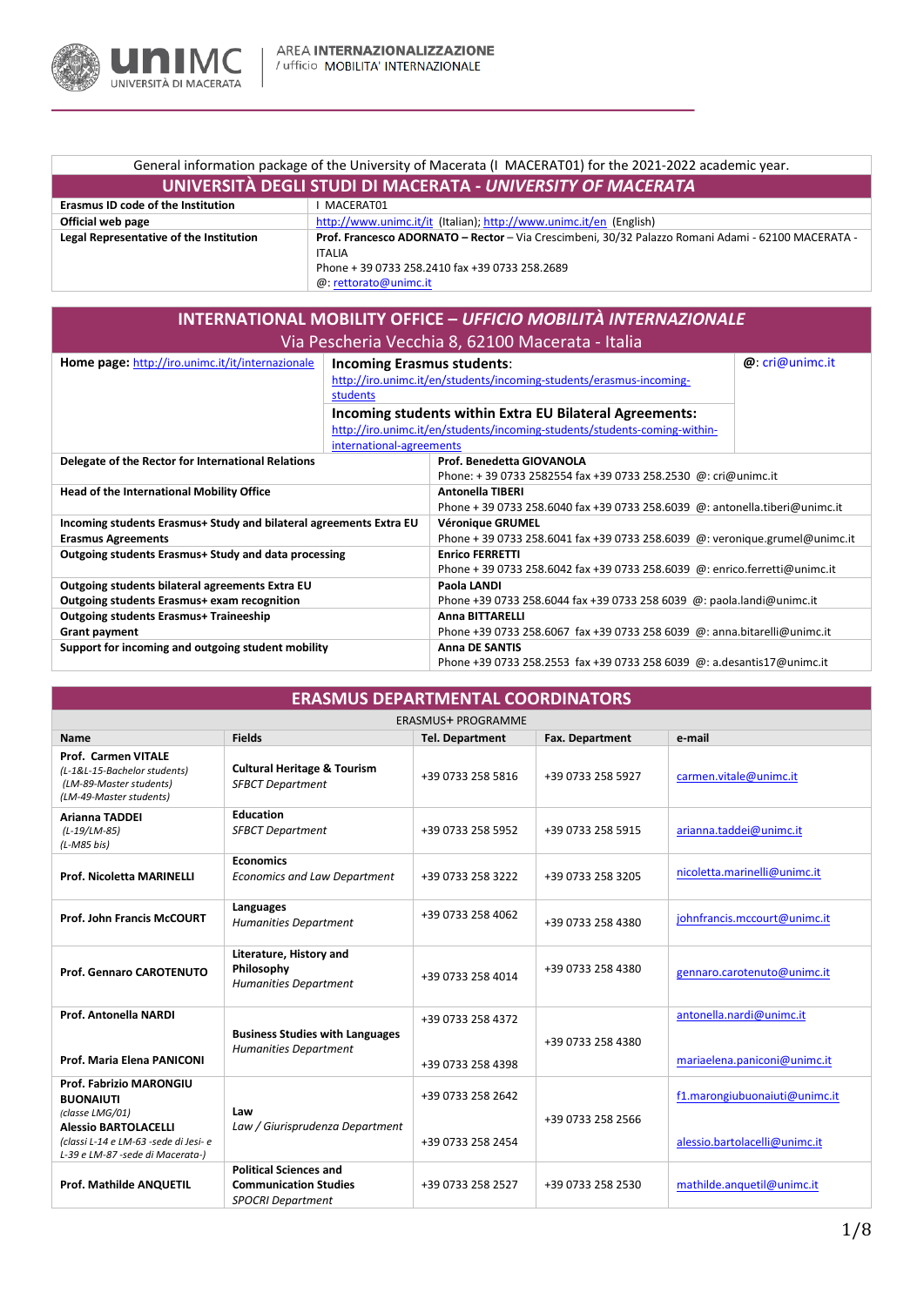

| General information package of the University of Macerata (I MACERAT01) for the 2021-2022 academic year. |                                                                                                    |  |  |
|----------------------------------------------------------------------------------------------------------|----------------------------------------------------------------------------------------------------|--|--|
| UNIVERSITÀ DEGLI STUDI DI MACERATA - UNIVERSITY OF MACERATA                                              |                                                                                                    |  |  |
| <b>Erasmus ID code of the Institution</b>                                                                | MACERAT01                                                                                          |  |  |
| Official web page                                                                                        | http://www.unimc.it/it (Italian); http://www.unimc.it/en (English)                                 |  |  |
| Legal Representative of the Institution                                                                  | Prof. Francesco ADORNATO - Rector - Via Crescimbeni, 30/32 Palazzo Romani Adami - 62100 MACERATA - |  |  |
|                                                                                                          | ITALIA                                                                                             |  |  |
|                                                                                                          | Phone + 39 0733 258.2410 fax +39 0733 258.2689                                                     |  |  |
|                                                                                                          | @: rettorato@unimc.it                                                                              |  |  |

| <b>INTERNATIONAL MOBILITY OFFICE - UFFICIO MOBILITÀ INTERNAZIONALE</b> |                                   |                                                                             |                 |  |
|------------------------------------------------------------------------|-----------------------------------|-----------------------------------------------------------------------------|-----------------|--|
| Via Pescheria Vecchia 8, 62100 Macerata - Italia                       |                                   |                                                                             |                 |  |
| Home page: http://iro.unimc.it/it/internazionale                       | <b>Incoming Erasmus students:</b> |                                                                             | @: cri@unimc.it |  |
|                                                                        |                                   | http://iro.unimc.it/en/students/incoming-students/erasmus-incoming-         |                 |  |
|                                                                        | students                          |                                                                             |                 |  |
|                                                                        |                                   | Incoming students within Extra EU Bilateral Agreements:                     |                 |  |
|                                                                        |                                   | http://iro.unimc.it/en/students/incoming-students/students-coming-within-   |                 |  |
|                                                                        | international-agreements          |                                                                             |                 |  |
| Delegate of the Rector for International Relations                     |                                   | Prof. Benedetta GIOVANOLA                                                   |                 |  |
|                                                                        |                                   | Phone: +39 0733 2582554 fax +39 0733 258.2530 @: cri@unimc.it               |                 |  |
| <b>Head of the International Mobility Office</b>                       |                                   | <b>Antonella TIBERI</b>                                                     |                 |  |
|                                                                        |                                   | Phone + 39 0733 258.6040 fax +39 0733 258.6039 @: antonella.tiberi@unimc.it |                 |  |
| Incoming students Erasmus+ Study and bilateral agreements Extra EU     |                                   | <b>Véronique GRUMEL</b>                                                     |                 |  |
| <b>Erasmus Agreements</b>                                              |                                   | Phone + 39 0733 258.6041 fax +39 0733 258.6039 @: veronique.grumel@unimc.it |                 |  |
| Outgoing students Erasmus+ Study and data processing                   |                                   | <b>Enrico FERRETTI</b>                                                      |                 |  |
|                                                                        |                                   | Phone + 39 0733 258.6042 fax +39 0733 258.6039 @: enrico.ferretti@unimc.it  |                 |  |
| Outgoing students bilateral agreements Extra EU                        |                                   | Paola LANDI                                                                 |                 |  |
| Outgoing students Erasmus+ exam recognition                            |                                   | Phone +39 0733 258.6044 fax +39 0733 258 6039 @: paola.landi@unimc.it       |                 |  |
| <b>Outgoing students Erasmus+ Traineeship</b>                          |                                   | <b>Anna BITTARELLI</b>                                                      |                 |  |
| <b>Grant payment</b>                                                   |                                   | Phone +39 0733 258.6067 fax +39 0733 258 6039 @: anna.bitarelli@unimc.it    |                 |  |
| Support for incoming and outgoing student mobility                     |                                   | <b>Anna DE SANTIS</b>                                                       |                 |  |
|                                                                        |                                   | Phone +39 0733 258.2553 fax +39 0733 258 6039 @: a.desantis17@unimc.it      |                 |  |

| <b>ERASMUS DEPARTMENTAL COORDINATORS</b>                                                                                                                                   |                                                                                           |                                        |                        |                                                                |
|----------------------------------------------------------------------------------------------------------------------------------------------------------------------------|-------------------------------------------------------------------------------------------|----------------------------------------|------------------------|----------------------------------------------------------------|
| <b>ERASMUS+ PROGRAMME</b>                                                                                                                                                  |                                                                                           |                                        |                        |                                                                |
| Name                                                                                                                                                                       | <b>Fields</b>                                                                             | <b>Tel. Department</b>                 | <b>Fax. Department</b> | e-mail                                                         |
| <b>Prof. Carmen VITALE</b><br>(L-1&L-15-Bachelor students)<br>(LM-89-Master students)<br>(LM-49-Master students)                                                           | <b>Cultural Heritage &amp; Tourism</b><br><b>SFBCT Department</b>                         | +39 0733 258 5816                      | +39 0733 258 5927      | carmen.vitale@unimc.it                                         |
| <b>Arianna TADDEI</b><br>$(L-19/LM-85)$<br>$(L-M85 bis)$                                                                                                                   | <b>Education</b><br><b>SFBCT Department</b>                                               | +39 0733 258 5952                      | +39 0733 258 5915      | arianna.taddei@unimc.it                                        |
| <b>Prof. Nicoletta MARINELLI</b>                                                                                                                                           | <b>Economics</b><br><b>Economics and Law Department</b>                                   | +39 0733 258 3222                      | +39 0733 258 3205      | nicoletta.marinelli@unimc.it                                   |
| <b>Prof. John Francis McCOURT</b>                                                                                                                                          | Languages<br><b>Humanities Department</b>                                                 | +39 0733 258 4062                      | +39 0733 258 4380      | johnfrancis.mccourt@unimc.it                                   |
| <b>Prof. Gennaro CAROTENUTO</b>                                                                                                                                            | Literature, History and<br>Philosophy<br><b>Humanities Department</b>                     | +39 0733 258 4014                      | +39 0733 258 4380      | gennaro.carotenuto@unimc.it                                    |
| Prof. Antonella NARDI<br>Prof. Maria Elena PANICONI                                                                                                                        | <b>Business Studies with Languages</b><br><b>Humanities Department</b>                    | +39 0733 258 4372<br>+39 0733 258 4398 | +39 0733 258 4380      | antonella.nardi@unimc.it<br>mariaelena.paniconi@unimc.it       |
| Prof. Fabrizio MARONGIU<br><b>BUONAIUTI</b><br>(classe LMG/01)<br><b>Alessio BARTOLACELLI</b><br>(classi L-14 e LM-63 -sede di Jesi- e<br>L-39 e LM-87 -sede di Macerata-) | Law<br>Law / Giurisprudenza Department                                                    | +39 0733 258 2642<br>+39 0733 258 2454 | +39 0733 258 2566      | f1.marongiubuonaiuti@unimc.it<br>alessio.bartolacelli@unimc.it |
| <b>Prof. Mathilde ANQUETIL</b>                                                                                                                                             | <b>Political Sciences and</b><br><b>Communication Studies</b><br><b>SPOCRI Department</b> | +39 0733 258 2527                      | +39 0733 258 2530      | mathilde.anguetil@unimc.it                                     |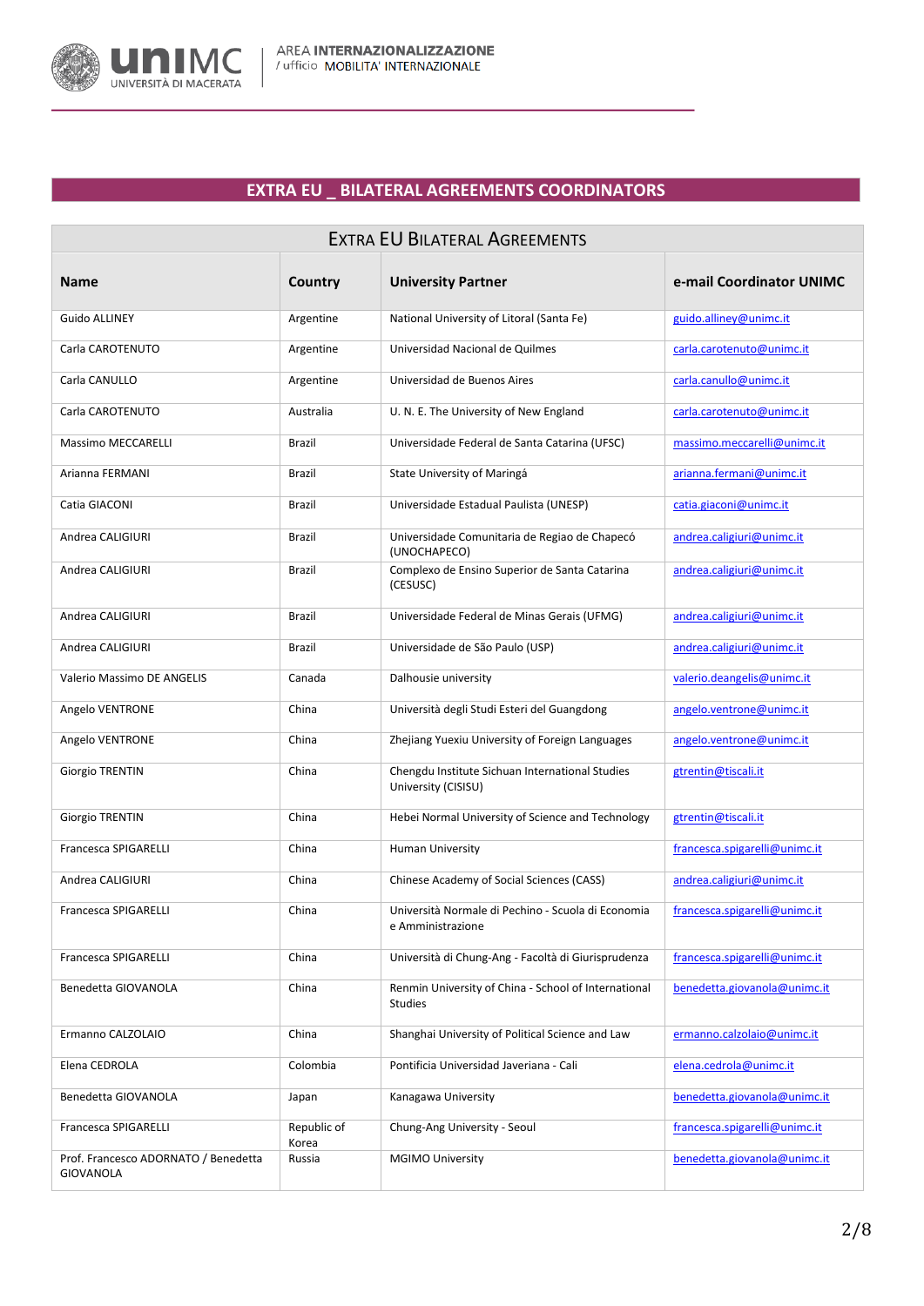

## **EXTRA EU \_ BILATERAL AGREEMENTS COORDINATORS**

| <b>EXTRA EU BILATERAL AGREEMENTS</b>                     |                      |                                                                         |                               |  |
|----------------------------------------------------------|----------------------|-------------------------------------------------------------------------|-------------------------------|--|
| Name                                                     | Country              | <b>University Partner</b>                                               | e-mail Coordinator UNIMC      |  |
| <b>Guido ALLINEY</b>                                     | Argentine            | National University of Litoral (Santa Fe)                               | guido.alliney@unimc.it        |  |
| Carla CAROTENUTO                                         | Argentine            | Universidad Nacional de Quilmes                                         | carla.carotenuto@unimc.it     |  |
| Carla CANULLO                                            | Argentine            | Universidad de Buenos Aires                                             | carla.canullo@unimc.it        |  |
| Carla CAROTENUTO                                         | Australia            | U. N. E. The University of New England                                  | carla.carotenuto@unimc.it     |  |
| <b>Massimo MECCARELLI</b>                                | Brazil               | Universidade Federal de Santa Catarina (UFSC)                           | massimo.meccarelli@unimc.it   |  |
| Arianna FERMANI                                          | Brazil               | State University of Maringá                                             | arianna.fermani@unimc.it      |  |
| Catia GIACONI                                            | Brazil               | Universidade Estadual Paulista (UNESP)                                  | catia.giaconi@unimc.it        |  |
| Andrea CALIGIURI                                         | Brazil               | Universidade Comunitaria de Regiao de Chapecó<br>(UNOCHAPECO)           | andrea.caligiuri@unimc.it     |  |
| Andrea CALIGIURI                                         | <b>Brazil</b>        | Complexo de Ensino Superior de Santa Catarina<br>(CESUSC)               | andrea.caligiuri@unimc.it     |  |
| Andrea CALIGIURI                                         | <b>Brazil</b>        | Universidade Federal de Minas Gerais (UFMG)                             | andrea.caligiuri@unimc.it     |  |
| Andrea CALIGIURI                                         | Brazil               | Universidade de São Paulo (USP)                                         | andrea.caligiuri@unimc.it     |  |
| Valerio Massimo DE ANGELIS                               | Canada               | Dalhousie university                                                    | valerio.deangelis@unimc.it    |  |
| Angelo VENTRONE                                          | China                | Università degli Studi Esteri del Guangdong                             | angelo.ventrone@unimc.it      |  |
| Angelo VENTRONE                                          | China                | Zhejiang Yuexiu University of Foreign Languages                         | angelo.ventrone@unimc.it      |  |
| Giorgio TRENTIN                                          | China                | Chengdu Institute Sichuan International Studies<br>University (CISISU)  | gtrentin@tiscali.it           |  |
| Giorgio TRENTIN                                          | China                | Hebei Normal University of Science and Technology                       | gtrentin@tiscali.it           |  |
| <b>Francesca SPIGARELLI</b>                              | China                | Human University                                                        | francesca.spigarelli@unimc.it |  |
| Andrea CALIGIURI                                         | China                | Chinese Academy of Social Sciences (CASS)                               | andrea.caligiuri@unimc.it     |  |
| <b>Francesca SPIGARELLI</b>                              | China                | Università Normale di Pechino - Scuola di Economia<br>e Amministrazione | francesca.spigarelli@unimc.it |  |
| Francesca SPIGARELLI                                     | China                | Università di Chung-Ang - Facoltà di Giurisprudenza                     | francesca.spigarelli@unimc.it |  |
| Benedetta GIOVANOLA                                      | China                | Renmin University of China - School of International<br><b>Studies</b>  | benedetta.giovanola@unimc.it  |  |
| Ermanno CALZOLAIO                                        | China                | Shanghai University of Political Science and Law                        | ermanno.calzolaio@unimc.it    |  |
| Elena CEDROLA                                            | Colombia             | Pontificia Universidad Javeriana - Cali                                 | elena.cedrola@unimc.it        |  |
| Benedetta GIOVANOLA                                      | Japan                | Kanagawa University                                                     | benedetta.giovanola@unimc.it  |  |
| Francesca SPIGARELLI                                     | Republic of<br>Korea | Chung-Ang University - Seoul                                            | francesca.spigarelli@unimc.it |  |
| Prof. Francesco ADORNATO / Benedetta<br><b>GIOVANOLA</b> | Russia               | <b>MGIMO University</b>                                                 | benedetta.giovanola@unimc.it  |  |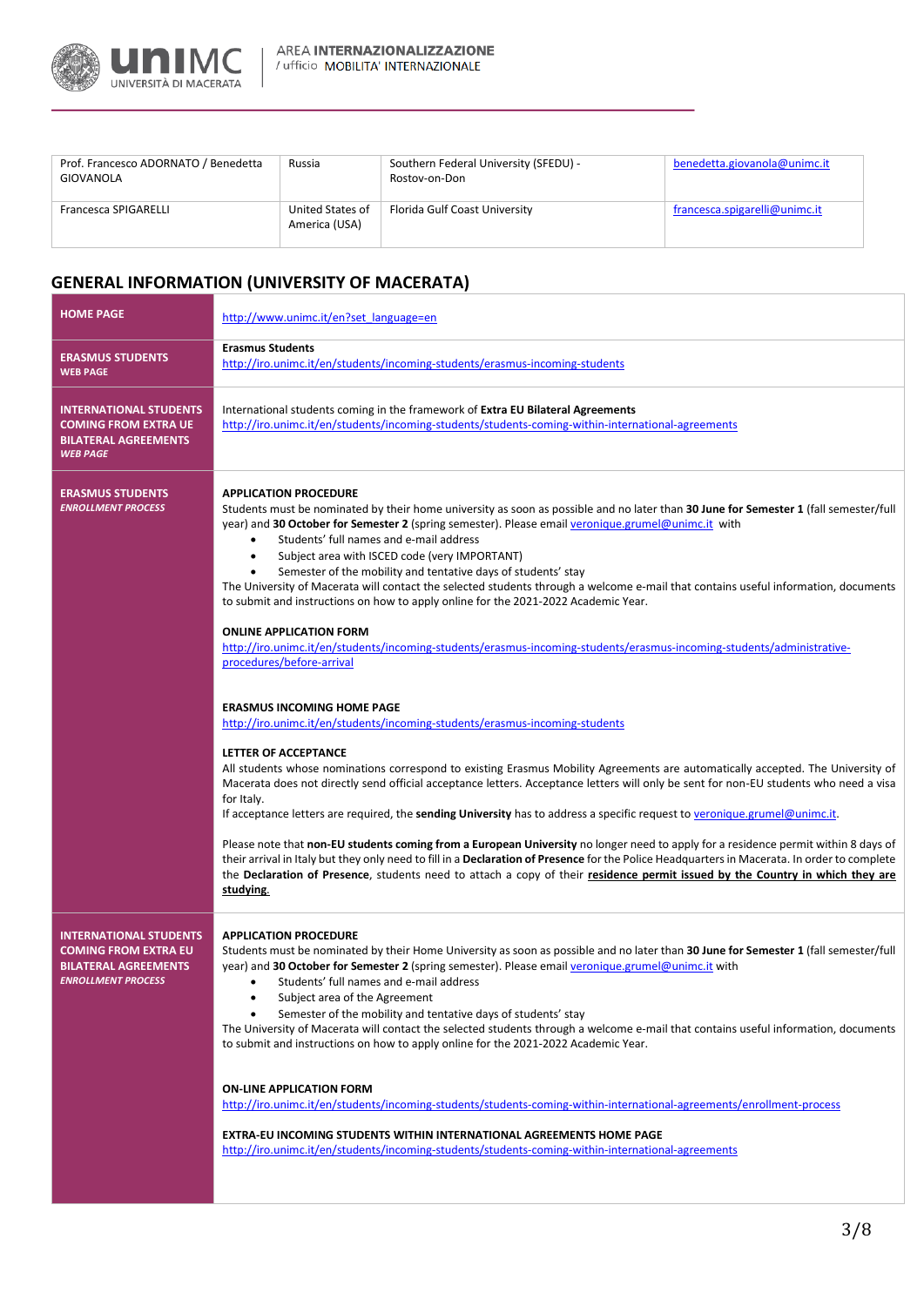

| Prof. Francesco ADORNATO / Benedetta<br>GIOVANOLA | Russia                            | Southern Federal University (SFEDU) -<br>Rostov-on-Don | benedetta.giovanola@unimc.it  |
|---------------------------------------------------|-----------------------------------|--------------------------------------------------------|-------------------------------|
| Francesca SPIGARELLI                              | United States of<br>America (USA) | Florida Gulf Coast University                          | francesca.spigarelli@unimc.it |

# **GENERAL INFORMATION (UNIVERSITY OF MACERATA)**

| <b>HOME PAGE</b>                                                                                                         | http://www.unimc.it/en?set language=en                                                                                                                                                                                                                                                                                                                                                                                                                                                                                                                                                                                                                                                                                                                                                                                                                                                                                                                                                                                                                                                                                                                                                                                                                                                                                                                                                                                                                                                                                                                                                                                                                                                                                                                                                                                                                                                        |
|--------------------------------------------------------------------------------------------------------------------------|-----------------------------------------------------------------------------------------------------------------------------------------------------------------------------------------------------------------------------------------------------------------------------------------------------------------------------------------------------------------------------------------------------------------------------------------------------------------------------------------------------------------------------------------------------------------------------------------------------------------------------------------------------------------------------------------------------------------------------------------------------------------------------------------------------------------------------------------------------------------------------------------------------------------------------------------------------------------------------------------------------------------------------------------------------------------------------------------------------------------------------------------------------------------------------------------------------------------------------------------------------------------------------------------------------------------------------------------------------------------------------------------------------------------------------------------------------------------------------------------------------------------------------------------------------------------------------------------------------------------------------------------------------------------------------------------------------------------------------------------------------------------------------------------------------------------------------------------------------------------------------------------------|
| <b>ERASMUS STUDENTS</b><br><b>WEB PAGE</b>                                                                               | <b>Erasmus Students</b><br>http://iro.unimc.it/en/students/incoming-students/erasmus-incoming-students                                                                                                                                                                                                                                                                                                                                                                                                                                                                                                                                                                                                                                                                                                                                                                                                                                                                                                                                                                                                                                                                                                                                                                                                                                                                                                                                                                                                                                                                                                                                                                                                                                                                                                                                                                                        |
| <b>INTERNATIONAL STUDENTS</b><br><b>COMING FROM EXTRA UE</b><br><b>BILATERAL AGREEMENTS</b><br><b>WEB PAGE</b>           | International students coming in the framework of Extra EU Bilateral Agreements<br>http://iro.unimc.it/en/students/incoming-students/students-coming-within-international-agreements                                                                                                                                                                                                                                                                                                                                                                                                                                                                                                                                                                                                                                                                                                                                                                                                                                                                                                                                                                                                                                                                                                                                                                                                                                                                                                                                                                                                                                                                                                                                                                                                                                                                                                          |
| <b>ERASMUS STUDENTS</b><br><b>ENROLLMENT PROCESS</b>                                                                     | <b>APPLICATION PROCEDURE</b><br>Students must be nominated by their home university as soon as possible and no later than 30 June for Semester 1 (fall semester/full<br>year) and 30 October for Semester 2 (spring semester). Please email veronique.grumel@unimc.it with<br>Students' full names and e-mail address<br>Subject area with ISCED code (very IMPORTANT)<br>$\bullet$<br>Semester of the mobility and tentative days of students' stay<br>$\bullet$<br>The University of Macerata will contact the selected students through a welcome e-mail that contains useful information, documents<br>to submit and instructions on how to apply online for the 2021-2022 Academic Year.<br><b>ONLINE APPLICATION FORM</b><br>http://iro.unimc.it/en/students/incoming-students/erasmus-incoming-students/erasmus-incoming-students/administrative-<br>procedures/before-arrival<br><b>ERASMUS INCOMING HOME PAGE</b><br>http://iro.unimc.it/en/students/incoming-students/erasmus-incoming-students<br>LETTER OF ACCEPTANCE<br>All students whose nominations correspond to existing Erasmus Mobility Agreements are automatically accepted. The University of<br>Macerata does not directly send official acceptance letters. Acceptance letters will only be sent for non-EU students who need a visa<br>for Italy.<br>If acceptance letters are required, the sending University has to address a specific request to veronique grumel@unimc.it.<br>Please note that non-EU students coming from a European University no longer need to apply for a residence permit within 8 days of<br>their arrival in Italy but they only need to fill in a Declaration of Presence for the Police Headquarters in Macerata. In order to complete<br>the Declaration of Presence, students need to attach a copy of their residence permit issued by the Country in which they are<br>studying. |
| <b>INTERNATIONAL STUDENTS</b><br><b>COMING FROM EXTRA EU</b><br><b>BILATERAL AGREEMENTS</b><br><b>ENROLLMENT PROCESS</b> | <b>APPLICATION PROCEDURE</b><br>Students must be nominated by their Home University as soon as possible and no later than 30 June for Semester 1 (fall semester/full<br>year) and 30 October for Semester 2 (spring semester). Please email veronique.grumel@unimc.it with<br>Students' full names and e-mail address<br>$\bullet$<br>Subject area of the Agreement<br>$\bullet$<br>Semester of the mobility and tentative days of students' stay<br>$\bullet$<br>The University of Macerata will contact the selected students through a welcome e-mail that contains useful information, documents<br>to submit and instructions on how to apply online for the 2021-2022 Academic Year.<br><b>ON-LINE APPLICATION FORM</b><br>http://iro.unimc.it/en/students/incoming-students/students-coming-within-international-agreements/enrollment-process<br><b>EXTRA-EU INCOMING STUDENTS WITHIN INTERNATIONAL AGREEMENTS HOME PAGE</b><br>http://iro.unimc.it/en/students/incoming-students/students-coming-within-international-agreements                                                                                                                                                                                                                                                                                                                                                                                                                                                                                                                                                                                                                                                                                                                                                                                                                                                     |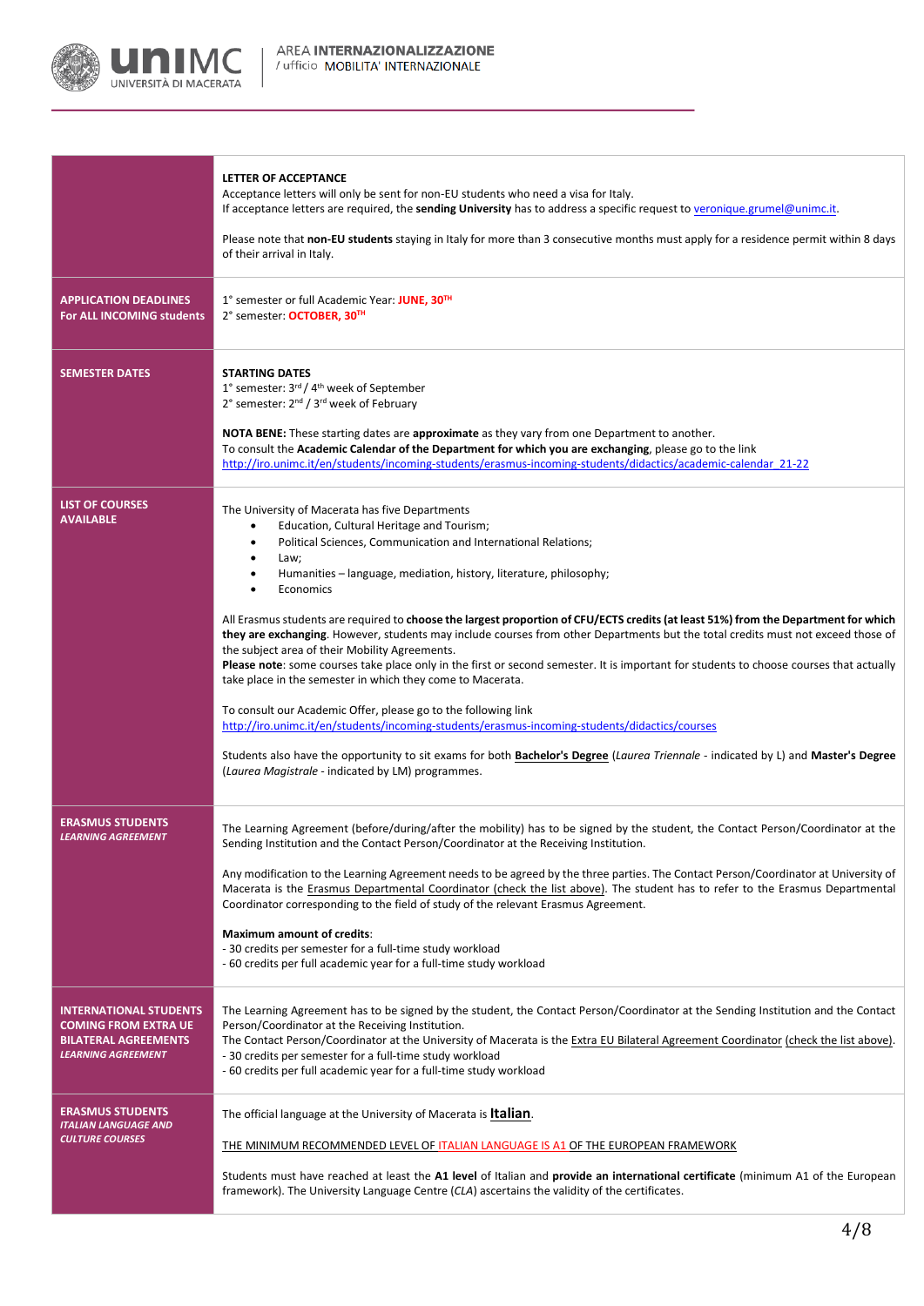

|                                                                                                                          | LETTER OF ACCEPTANCE<br>Acceptance letters will only be sent for non-EU students who need a visa for Italy.<br>If acceptance letters are required, the sending University has to address a specific request to veronique grumel@unimc.it.<br>Please note that non-EU students staying in Italy for more than 3 consecutive months must apply for a residence permit within 8 days<br>of their arrival in Italy.                                                                                                                                                                                                                                                                                                                                                                                                                                                                                                                                                                                                                                                                                                                                                                                           |
|--------------------------------------------------------------------------------------------------------------------------|-----------------------------------------------------------------------------------------------------------------------------------------------------------------------------------------------------------------------------------------------------------------------------------------------------------------------------------------------------------------------------------------------------------------------------------------------------------------------------------------------------------------------------------------------------------------------------------------------------------------------------------------------------------------------------------------------------------------------------------------------------------------------------------------------------------------------------------------------------------------------------------------------------------------------------------------------------------------------------------------------------------------------------------------------------------------------------------------------------------------------------------------------------------------------------------------------------------|
| <b>APPLICATION DEADLINES</b><br>For ALL INCOMING students                                                                | 1° semester or full Academic Year: JUNE, 30 <sup>TH</sup><br>2° semester: OCTOBER, 30TH                                                                                                                                                                                                                                                                                                                                                                                                                                                                                                                                                                                                                                                                                                                                                                                                                                                                                                                                                                                                                                                                                                                   |
| <b>SEMESTER DATES</b>                                                                                                    | <b>STARTING DATES</b><br>1° semester: 3rd / 4 <sup>th</sup> week of September<br>2° semester: 2 <sup>nd</sup> / 3 <sup>rd</sup> week of February<br>NOTA BENE: These starting dates are approximate as they vary from one Department to another.<br>To consult the Academic Calendar of the Department for which you are exchanging, please go to the link<br>http://iro.unimc.it/en/students/incoming-students/erasmus-incoming-students/didactics/academic-calendar 21-22                                                                                                                                                                                                                                                                                                                                                                                                                                                                                                                                                                                                                                                                                                                               |
| <b>LIST OF COURSES</b><br><b>AVAILABLE</b>                                                                               | The University of Macerata has five Departments<br>Education, Cultural Heritage and Tourism;<br>$\bullet$<br>Political Sciences, Communication and International Relations;<br>$\bullet$<br>$\bullet$<br>Law;<br>Humanities – language, mediation, history, literature, philosophy;<br>٠<br>Economics<br>All Erasmus students are required to choose the largest proportion of CFU/ECTS credits (at least 51%) from the Department for which<br>they are exchanging. However, students may include courses from other Departments but the total credits must not exceed those of<br>the subject area of their Mobility Agreements.<br>Please note: some courses take place only in the first or second semester. It is important for students to choose courses that actually<br>take place in the semester in which they come to Macerata.<br>To consult our Academic Offer, please go to the following link<br>http://iro.unimc.it/en/students/incoming-students/erasmus-incoming-students/didactics/courses<br>Students also have the opportunity to sit exams for both Bachelor's Degree (Laurea Triennale - indicated by L) and Master's Degree<br>(Laurea Magistrale - indicated by LM) programmes. |
| <b>ERASMUS STUDENTS</b><br><b>LEARNING AGREEMENT</b>                                                                     | The Learning Agreement (before/during/after the mobility) has to be signed by the student, the Contact Person/Coordinator at the<br>Sending Institution and the Contact Person/Coordinator at the Receiving Institution.<br>Any modification to the Learning Agreement needs to be agreed by the three parties. The Contact Person/Coordinator at University of<br>Macerata is the Erasmus Departmental Coordinator (check the list above). The student has to refer to the Erasmus Departmental<br>Coordinator corresponding to the field of study of the relevant Erasmus Agreement.<br><b>Maximum amount of credits:</b><br>- 30 credits per semester for a full-time study workload<br>- 60 credits per full academic year for a full-time study workload                                                                                                                                                                                                                                                                                                                                                                                                                                             |
| <b>INTERNATIONAL STUDENTS</b><br><b>COMING FROM EXTRA UE</b><br><b>BILATERAL AGREEMENTS</b><br><b>LEARNING AGREEMENT</b> | The Learning Agreement has to be signed by the student, the Contact Person/Coordinator at the Sending Institution and the Contact<br>Person/Coordinator at the Receiving Institution.<br>The Contact Person/Coordinator at the University of Macerata is the Extra EU Bilateral Agreement Coordinator (check the list above).<br>- 30 credits per semester for a full-time study workload<br>- 60 credits per full academic year for a full-time study workload                                                                                                                                                                                                                                                                                                                                                                                                                                                                                                                                                                                                                                                                                                                                           |
| <b>ERASMUS STUDENTS</b><br><b>ITALIAN LANGUAGE AND</b><br><b>CULTURE COURSES</b>                                         | The official language at the University of Macerata is <b>Italian</b> .<br>THE MINIMUM RECOMMENDED LEVEL OF ITALIAN LANGUAGE IS A1 OF THE EUROPEAN FRAMEWORK<br>Students must have reached at least the A1 level of Italian and provide an international certificate (minimum A1 of the European<br>framework). The University Language Centre (CLA) ascertains the validity of the certificates.                                                                                                                                                                                                                                                                                                                                                                                                                                                                                                                                                                                                                                                                                                                                                                                                         |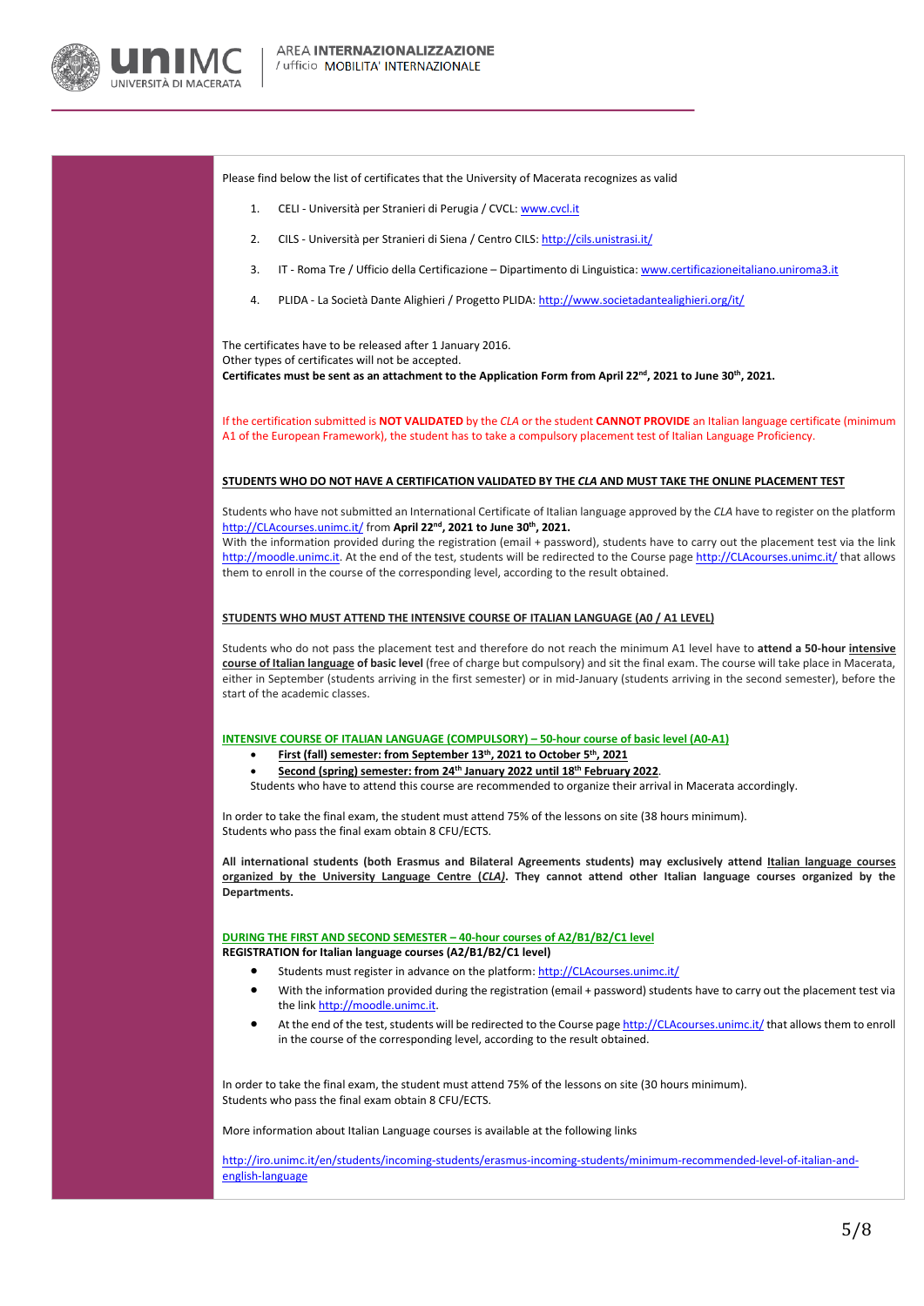

Please find below the list of certificates that the University of Macerata recognizes as valid

- 1. CELI Università per Stranieri di Perugia / CVCL[: www.cvcl.it](http://www.cvcl.it/)
- 2. CILS Università per Stranieri di Siena / Centro CILS[: http://cils.unistrasi.it/](http://cils.unistrasi.it/)
- 3. IT Roma Tre / Ufficio della Certificazione Dipartimento di Linguistica[: www.certificazioneitaliano.uniroma3.it](http://www.certificazioneitaliano.uniroma3.it/)
- 4. PLIDA La Società Dante Alighieri / Progetto PLIDA[: http://www.societadantealighieri.org/it/](http://www.societadantealighieri.org/it/)

The certificates have to be released after 1 January 2016. Other types of certificates will not be accepted. **Certificates must be sent as an attachment to the Application Form from April 22nd, 2021 to June 30th, 2021.**

If the certification submitted is **NOT VALIDATED** by the *CLA* or the student **CANNOT PROVIDE** an Italian language certificate (minimum A1 of the European Framework), the student has to take a compulsory placement test of Italian Language Proficiency.

#### **STUDENTS WHO DO NOT HAVE A CERTIFICATION VALIDATED BY THE** *CLA* **AND MUST TAKE THE ONLINE PLACEMENT TEST**

Students who have not submitted an International Certificate of Italian language approved by the *CLA* have to register on the platform [http://CLAcourses.unimc.it/](http://clacourses.unimc.it/) from **April 22nd, 2021 to June 30th, 2021.**

With the information provided during the registration (email + password), students have to carry out the placement test via the link [http://moodle.unimc.it.](http://moodle.unimc.it/) At the end of the test, students will be redirected to the Course page [http://CLAcourses.unimc.it/](http://clacourses.unimc.it/) that allows them to enroll in the course of the corresponding level, according to the result obtained.

### **STUDENTS WHO MUST ATTEND THE INTENSIVE COURSE OF ITALIAN LANGUAGE (A0 / A1 LEVEL)**

Students who do not pass the placement test and therefore do not reach the minimum A1 level have to **attend a 50-hour intensive course of Italian language of basic level** (free of charge but compulsory) and sit the final exam. The course will take place in Macerata, either in September (students arriving in the first semester) or in mid-January (students arriving in the second semester), before the start of the academic classes.

#### **INTENSIVE COURSE OF ITALIAN LANGUAGE (COMPULSORY) – 50-hour course of basic level (A0-A1)**

- **First (fall) semester: from September 13th , 2021 to October 5th , 2021**
	- **Second (spring) semester: from 24th January 2022 until 18th February 2022**.

Students who have to attend this course are recommended to organize their arrival in Macerata accordingly.

In order to take the final exam, the student must attend 75% of the lessons on site (38 hours minimum). Students who pass the final exam obtain 8 CFU/ECTS.

**All international students (both Erasmus and Bilateral Agreements students) may exclusively attend Italian language courses organized by the University Language Centre (***CLA)***. They cannot attend other Italian language courses organized by the Departments.**

**DURING THE FIRST AND SECOND SEMESTER – 40-hour courses of A2/B1/B2/C1 level REGISTRATION for Italian language courses (A2/B1/B2/C1 level)**

- Students must register in advance on the platform[: http://CLAcourses.unimc.it/](http://clacourses.unimc.it/)
- With the information provided during the registration (email + password) students have to carry out the placement test via the lin[k http://moodle.unimc.it.](http://moodle.unimc.it/)
- At the end of the test, students will be redirected to the Course pag[e http://CLAcourses.unimc.it/](http://clacourses.unimc.it/) that allows them to enroll in the course of the corresponding level, according to the result obtained.

In order to take the final exam, the student must attend 75% of the lessons on site (30 hours minimum). Students who pass the final exam obtain 8 CFU/ECTS.

More information about Italian Language courses is available at the following links

[http://iro.unimc.it/en/students/incoming-students/erasmus-incoming-students/minimum-recommended-level-of-italian-and](http://iro.unimc.it/en/students/incoming-students/erasmus-incoming-students/minimum-recommended-level-of-italian-and-english-language)[english-language](http://iro.unimc.it/en/students/incoming-students/erasmus-incoming-students/minimum-recommended-level-of-italian-and-english-language)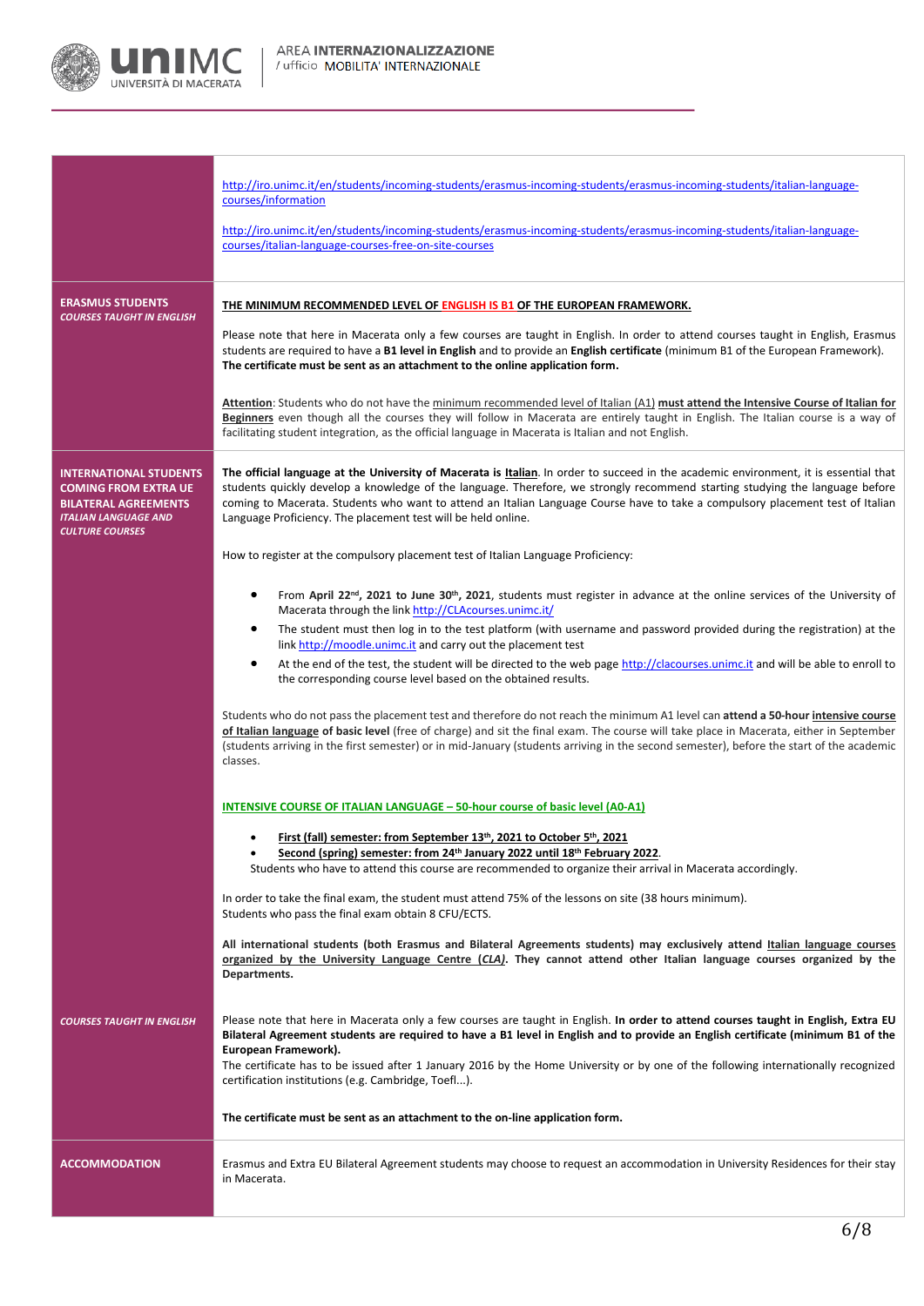

|                                                                                                                                                      | http://iro.unimc.it/en/students/incoming-students/erasmus-incoming-students/erasmus-incoming-students/italian-language-<br>courses/information<br>http://iro.unimc.it/en/students/incoming-students/erasmus-incoming-students/erasmus-incoming-students/italian-language-<br>courses/italian-language-courses-free-on-site-courses                                                                                                                                                          |
|------------------------------------------------------------------------------------------------------------------------------------------------------|---------------------------------------------------------------------------------------------------------------------------------------------------------------------------------------------------------------------------------------------------------------------------------------------------------------------------------------------------------------------------------------------------------------------------------------------------------------------------------------------|
|                                                                                                                                                      |                                                                                                                                                                                                                                                                                                                                                                                                                                                                                             |
| <b>ERASMUS STUDENTS</b><br><b>COURSES TAUGHT IN ENGLISH</b>                                                                                          | <b>THE MINIMUM RECOMMENDED LEVEL OF ENGLISH IS B1 OF THE EUROPEAN FRAMEWORK.</b><br>Please note that here in Macerata only a few courses are taught in English. In order to attend courses taught in English, Erasmus<br>students are required to have a B1 level in English and to provide an English certificate (minimum B1 of the European Framework).<br>The certificate must be sent as an attachment to the online application form.                                                 |
|                                                                                                                                                      | Attention: Students who do not have the minimum recommended level of Italian (A1) must attend the Intensive Course of Italian for<br>Beginners even though all the courses they will follow in Macerata are entirely taught in English. The Italian course is a way of<br>facilitating student integration, as the official language in Macerata is Italian and not English.                                                                                                                |
| <b>INTERNATIONAL STUDENTS</b><br><b>COMING FROM EXTRA UE</b><br><b>BILATERAL AGREEMENTS</b><br><b>ITALIAN LANGUAGE AND</b><br><b>CULTURE COURSES</b> | The official language at the University of Macerata is Italian. In order to succeed in the academic environment, it is essential that<br>students quickly develop a knowledge of the language. Therefore, we strongly recommend starting studying the language before<br>coming to Macerata. Students who want to attend an Italian Language Course have to take a compulsory placement test of Italian<br>Language Proficiency. The placement test will be held online.                    |
|                                                                                                                                                      | How to register at the compulsory placement test of Italian Language Proficiency:                                                                                                                                                                                                                                                                                                                                                                                                           |
|                                                                                                                                                      | From April 22 <sup>nd</sup> , 2021 to June 30 <sup>th</sup> , 2021, students must register in advance at the online services of the University of<br>Macerata through the link http://CLAcourses.unimc.it/                                                                                                                                                                                                                                                                                  |
|                                                                                                                                                      | The student must then log in to the test platform (with username and password provided during the registration) at the<br>٠<br>link http://moodle.unimc.it and carry out the placement test                                                                                                                                                                                                                                                                                                 |
|                                                                                                                                                      | At the end of the test, the student will be directed to the web page http://clacourses.unimc.it and will be able to enroll to<br>$\bullet$<br>the corresponding course level based on the obtained results.                                                                                                                                                                                                                                                                                 |
|                                                                                                                                                      | Students who do not pass the placement test and therefore do not reach the minimum A1 level can attend a 50-hour intensive course<br>of Italian language of basic level (free of charge) and sit the final exam. The course will take place in Macerata, either in September<br>(students arriving in the first semester) or in mid-January (students arriving in the second semester), before the start of the academic<br>classes.                                                        |
|                                                                                                                                                      | <b>INTENSIVE COURSE OF ITALIAN LANGUAGE - 50-hour course of basic level (A0-A1)</b>                                                                                                                                                                                                                                                                                                                                                                                                         |
|                                                                                                                                                      | First (fall) semester: from September 13 <sup>th</sup> , 2021 to October 5 <sup>th</sup> , 2021<br>Second (spring) semester: from 24th January 2022 until 18th February 2022.<br>Students who have to attend this course are recommended to organize their arrival in Macerata accordingly.                                                                                                                                                                                                 |
|                                                                                                                                                      | In order to take the final exam, the student must attend 75% of the lessons on site (38 hours minimum).<br>Students who pass the final exam obtain 8 CFU/ECTS.                                                                                                                                                                                                                                                                                                                              |
|                                                                                                                                                      | All international students (both Erasmus and Bilateral Agreements students) may exclusively attend Italian language courses<br>organized by the University Language Centre (CLA). They cannot attend other Italian language courses organized by the<br>Departments.                                                                                                                                                                                                                        |
| <b>COURSES TAUGHT IN ENGLISH</b>                                                                                                                     | Please note that here in Macerata only a few courses are taught in English. In order to attend courses taught in English, Extra EU<br>Bilateral Agreement students are required to have a B1 level in English and to provide an English certificate (minimum B1 of the<br>European Framework).<br>The certificate has to be issued after 1 January 2016 by the Home University or by one of the following internationally recognized<br>certification institutions (e.g. Cambridge, Toefl). |
|                                                                                                                                                      | The certificate must be sent as an attachment to the on-line application form.                                                                                                                                                                                                                                                                                                                                                                                                              |
| <b>ACCOMMODATION</b>                                                                                                                                 | Erasmus and Extra EU Bilateral Agreement students may choose to request an accommodation in University Residences for their stay<br>in Macerata.                                                                                                                                                                                                                                                                                                                                            |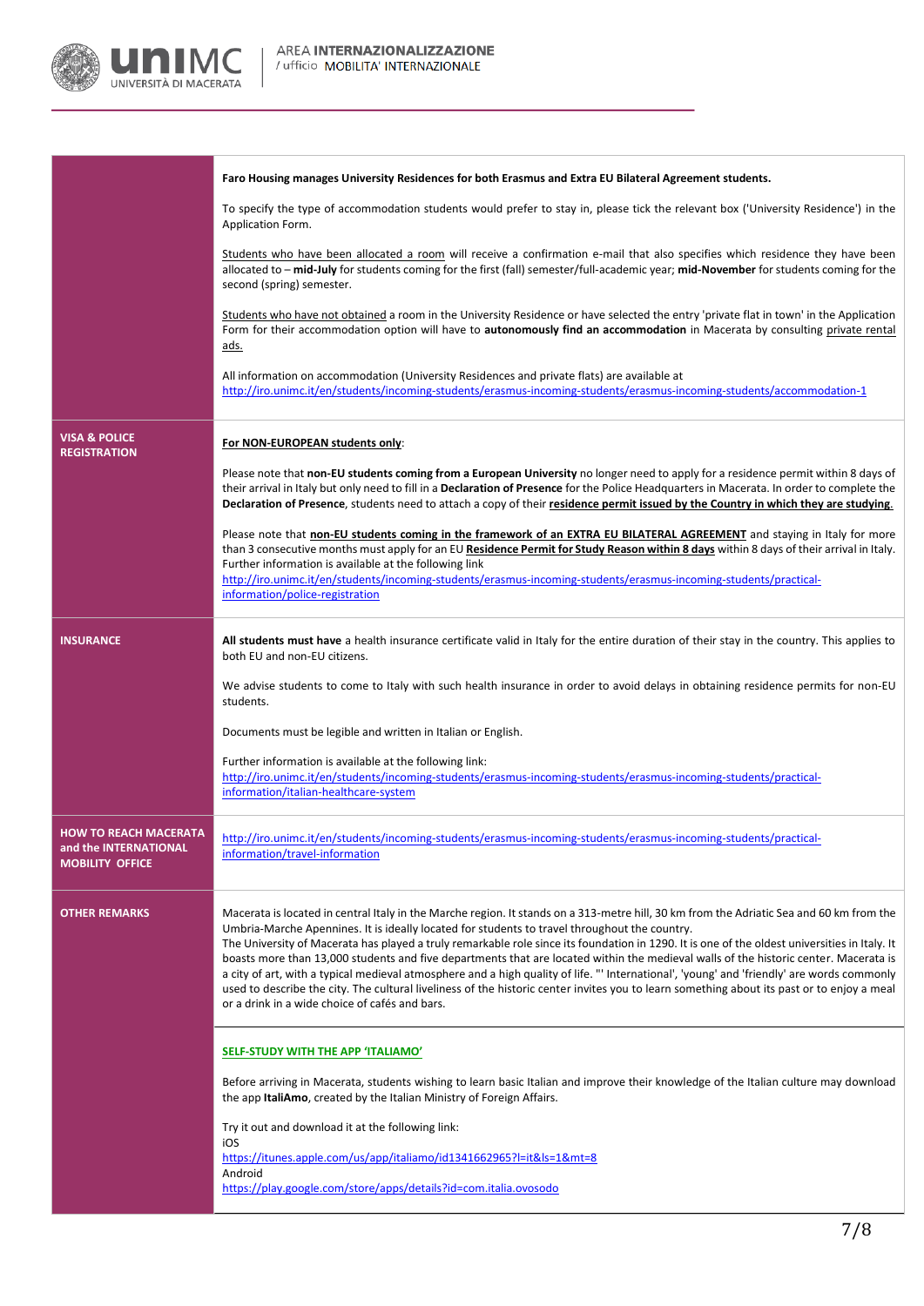

|                                                                                 | Faro Housing manages University Residences for both Erasmus and Extra EU Bilateral Agreement students.                                                                                                                                                                                                                                                                                                                                                                                                                                                                                                                                                                                                                                                                                                                                                                           |
|---------------------------------------------------------------------------------|----------------------------------------------------------------------------------------------------------------------------------------------------------------------------------------------------------------------------------------------------------------------------------------------------------------------------------------------------------------------------------------------------------------------------------------------------------------------------------------------------------------------------------------------------------------------------------------------------------------------------------------------------------------------------------------------------------------------------------------------------------------------------------------------------------------------------------------------------------------------------------|
|                                                                                 | To specify the type of accommodation students would prefer to stay in, please tick the relevant box ('University Residence') in the<br>Application Form.                                                                                                                                                                                                                                                                                                                                                                                                                                                                                                                                                                                                                                                                                                                         |
|                                                                                 | Students who have been allocated a room will receive a confirmation e-mail that also specifies which residence they have been<br>allocated to - mid-July for students coming for the first (fall) semester/full-academic year; mid-November for students coming for the<br>second (spring) semester.                                                                                                                                                                                                                                                                                                                                                                                                                                                                                                                                                                             |
|                                                                                 | Students who have not obtained a room in the University Residence or have selected the entry 'private flat in town' in the Application<br>Form for their accommodation option will have to autonomously find an accommodation in Macerata by consulting private rental<br><u>ads.</u>                                                                                                                                                                                                                                                                                                                                                                                                                                                                                                                                                                                            |
|                                                                                 | All information on accommodation (University Residences and private flats) are available at<br>http://iro.unimc.it/en/students/incoming-students/erasmus-incoming-students/erasmus-incoming-students/accommodation-1                                                                                                                                                                                                                                                                                                                                                                                                                                                                                                                                                                                                                                                             |
| <b>VISA &amp; POLICE</b><br><b>REGISTRATION</b>                                 | For NON-EUROPEAN students only:                                                                                                                                                                                                                                                                                                                                                                                                                                                                                                                                                                                                                                                                                                                                                                                                                                                  |
|                                                                                 | Please note that non-EU students coming from a European University no longer need to apply for a residence permit within 8 days of<br>their arrival in Italy but only need to fill in a Declaration of Presence for the Police Headquarters in Macerata. In order to complete the<br>Declaration of Presence, students need to attach a copy of their residence permit issued by the Country in which they are studying.                                                                                                                                                                                                                                                                                                                                                                                                                                                         |
|                                                                                 | Please note that non-EU students coming in the framework of an EXTRA EU BILATERAL AGREEMENT and staying in Italy for more<br>than 3 consecutive months must apply for an EU Residence Permit for Study Reason within 8 days within 8 days of their arrival in Italy.<br>Further information is available at the following link<br>http://iro.unimc.it/en/students/incoming-students/erasmus-incoming-students/erasmus-incoming-students/practical-<br>information/police-registration                                                                                                                                                                                                                                                                                                                                                                                            |
| <b>INSURANCE</b>                                                                | All students must have a health insurance certificate valid in Italy for the entire duration of their stay in the country. This applies to<br>both EU and non-EU citizens.                                                                                                                                                                                                                                                                                                                                                                                                                                                                                                                                                                                                                                                                                                       |
|                                                                                 | We advise students to come to Italy with such health insurance in order to avoid delays in obtaining residence permits for non-EU<br>students.                                                                                                                                                                                                                                                                                                                                                                                                                                                                                                                                                                                                                                                                                                                                   |
|                                                                                 | Documents must be legible and written in Italian or English.                                                                                                                                                                                                                                                                                                                                                                                                                                                                                                                                                                                                                                                                                                                                                                                                                     |
|                                                                                 | Further information is available at the following link:<br>http://iro.unimc.it/en/students/incoming-students/erasmus-incoming-students/erasmus-incoming-students/practical-<br>information/italian-healthcare-system                                                                                                                                                                                                                                                                                                                                                                                                                                                                                                                                                                                                                                                             |
| <b>HOW TO REACH MACERATA</b><br>and the INTERNATIONAL<br><b>MOBILITY OFFICE</b> | http://iro.unimc.it/en/students/incoming-students/erasmus-incoming-students/erasmus-incoming-students/practical-<br>information/travel-information                                                                                                                                                                                                                                                                                                                                                                                                                                                                                                                                                                                                                                                                                                                               |
| <b>OTHER REMARKS</b>                                                            | Macerata is located in central Italy in the Marche region. It stands on a 313-metre hill, 30 km from the Adriatic Sea and 60 km from the<br>Umbria-Marche Apennines. It is ideally located for students to travel throughout the country.<br>The University of Macerata has played a truly remarkable role since its foundation in 1290. It is one of the oldest universities in Italy. It<br>boasts more than 13,000 students and five departments that are located within the medieval walls of the historic center. Macerata is<br>a city of art, with a typical medieval atmosphere and a high quality of life. "' International', 'young' and 'friendly' are words commonly<br>used to describe the city. The cultural liveliness of the historic center invites you to learn something about its past or to enjoy a meal<br>or a drink in a wide choice of cafés and bars. |
|                                                                                 | <b>SELF-STUDY WITH THE APP 'ITALIAMO'</b>                                                                                                                                                                                                                                                                                                                                                                                                                                                                                                                                                                                                                                                                                                                                                                                                                                        |
|                                                                                 | Before arriving in Macerata, students wishing to learn basic Italian and improve their knowledge of the Italian culture may download<br>the app ItaliAmo, created by the Italian Ministry of Foreign Affairs.                                                                                                                                                                                                                                                                                                                                                                                                                                                                                                                                                                                                                                                                    |
|                                                                                 | Try it out and download it at the following link:<br>iOS                                                                                                                                                                                                                                                                                                                                                                                                                                                                                                                                                                                                                                                                                                                                                                                                                         |
|                                                                                 | https://itunes.apple.com/us/app/italiamo/id1341662965?I=it&Is=1&mt=8<br>Android<br>https://play.google.com/store/apps/details?id=com.italia.ovosodo                                                                                                                                                                                                                                                                                                                                                                                                                                                                                                                                                                                                                                                                                                                              |
|                                                                                 |                                                                                                                                                                                                                                                                                                                                                                                                                                                                                                                                                                                                                                                                                                                                                                                                                                                                                  |